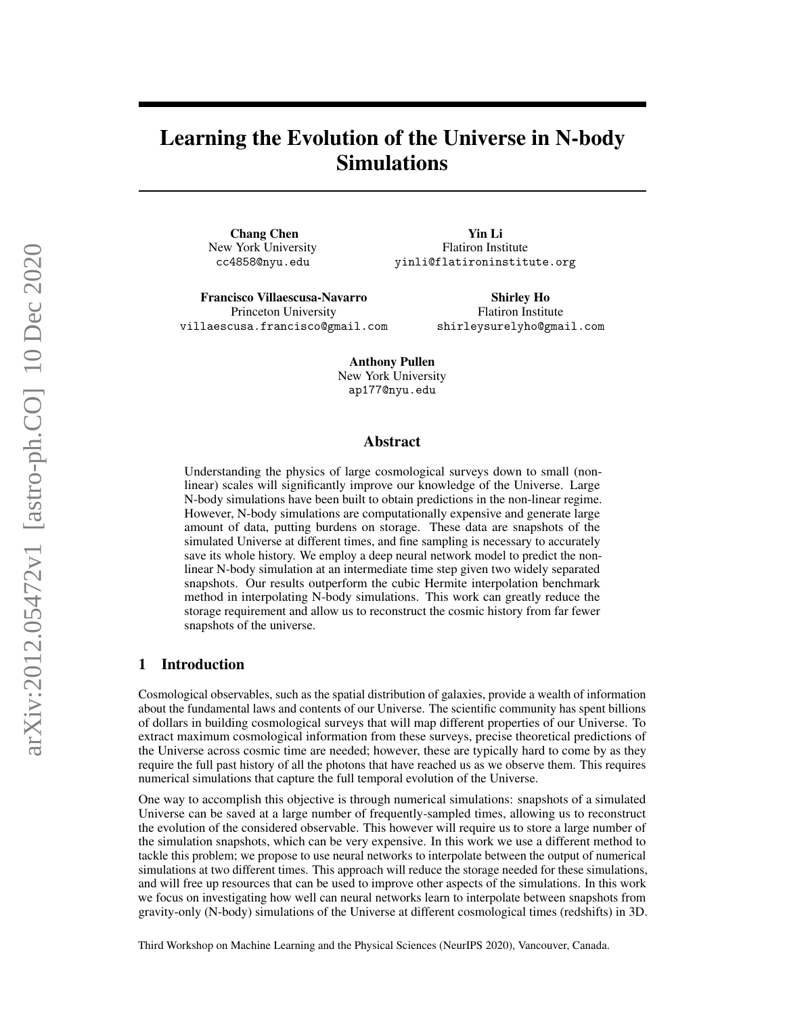# Learning the Evolution of the Universe in N-body Simulations

Chang Chen New York University cc4858@nyu.edu

villaescusa.francisco@gmail.com

Francisco Villaescusa-Navarro Princeton University

Shirley Ho Flatiron Institute shirleysurelyho@gmail.com

Yin Li Flatiron Institute yinli@flatironinstitute.org

Anthony Pullen New York University ap177@nyu.edu

### Abstract

Understanding the physics of large cosmological surveys down to small (nonlinear) scales will significantly improve our knowledge of the Universe. Large N-body simulations have been built to obtain predictions in the non-linear regime. However, N-body simulations are computationally expensive and generate large amount of data, putting burdens on storage. These data are snapshots of the simulated Universe at different times, and fine sampling is necessary to accurately save its whole history. We employ a deep neural network model to predict the nonlinear N-body simulation at an intermediate time step given two widely separated snapshots. Our results outperform the cubic Hermite interpolation benchmark method in interpolating N-body simulations. This work can greatly reduce the storage requirement and allow us to reconstruct the cosmic history from far fewer snapshots of the universe.

#### 1 Introduction

Cosmological observables, such as the spatial distribution of galaxies, provide a wealth of information about the fundamental laws and contents of our Universe. The scientific community has spent billions of dollars in building cosmological surveys that will map different properties of our Universe. To extract maximum cosmological information from these surveys, precise theoretical predictions of the Universe across cosmic time are needed; however, these are typically hard to come by as they require the full past history of all the photons that have reached us as we observe them. This requires numerical simulations that capture the full temporal evolution of the Universe.

One way to accomplish this objective is through numerical simulations: snapshots of a simulated Universe can be saved at a large number of frequently-sampled times, allowing us to reconstruct the evolution of the considered observable. This however will require us to store a large number of the simulation snapshots, which can be very expensive. In this work we use a different method to tackle this problem; we propose to use neural networks to interpolate between the output of numerical simulations at two different times. This approach will reduce the storage needed for these simulations, and will free up resources that can be used to improve other aspects of the simulations. In this work we focus on investigating how well can neural networks learn to interpolate between snapshots from gravity-only (N-body) simulations of the Universe at different cosmological times (redshifts) in 3D.

Third Workshop on Machine Learning and the Physical Sciences (NeurIPS 2020), Vancouver, Canada.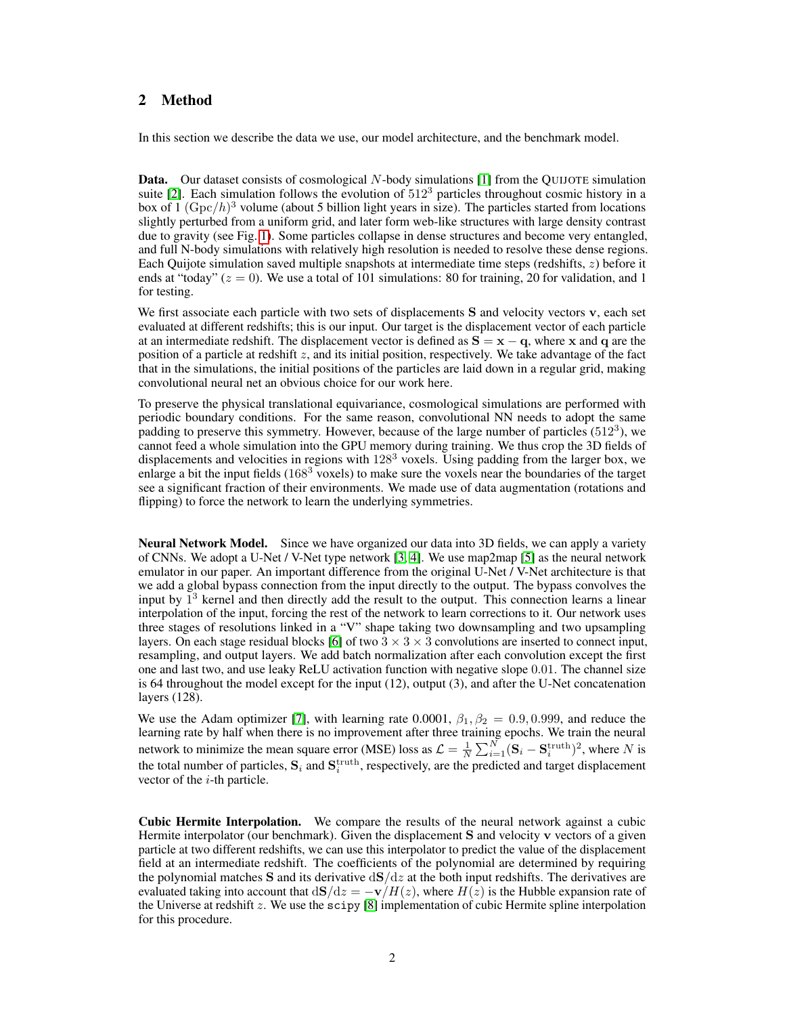## 2 Method

In this section we describe the data we use, our model architecture, and the benchmark model.

Data. Our dataset consists of cosmological N-body simulations [\[1\]](#page-4-0) from the QUIJOTE simulation suite [\[2\]](#page-4-1). Each simulation follows the evolution of  $512<sup>3</sup>$  particles throughout cosmic history in a box of  $1 \, (\text{Gpc}/h)^3$  volume (about 5 billion light years in size). The particles started from locations slightly perturbed from a uniform grid, and later form web-like structures with large density contrast due to gravity (see Fig. [1\)](#page-2-0). Some particles collapse in dense structures and become very entangled, and full N-body simulations with relatively high resolution is needed to resolve these dense regions. Each Quijote simulation saved multiple snapshots at intermediate time steps (redshifts, z) before it ends at "today" ( $z = 0$ ). We use a total of 101 simulations: 80 for training, 20 for validation, and 1 for testing.

We first associate each particle with two sets of displacements S and velocity vectors v, each set evaluated at different redshifts; this is our input. Our target is the displacement vector of each particle at an intermediate redshift. The displacement vector is defined as  $S = x - q$ , where x and q are the position of a particle at redshift z, and its initial position, respectively. We take advantage of the fact that in the simulations, the initial positions of the particles are laid down in a regular grid, making convolutional neural net an obvious choice for our work here.

To preserve the physical translational equivariance, cosmological simulations are performed with periodic boundary conditions. For the same reason, convolutional NN needs to adopt the same padding to preserve this symmetry. However, because of the large number of particles  $(512<sup>3</sup>)$ , we cannot feed a whole simulation into the GPU memory during training. We thus crop the 3D fields of displacements and velocities in regions with 128<sup>3</sup> voxels. Using padding from the larger box, we enlarge a bit the input fields (168<sup>3</sup> voxels) to make sure the voxels near the boundaries of the target see a significant fraction of their environments. We made use of data augmentation (rotations and flipping) to force the network to learn the underlying symmetries.

Neural Network Model. Since we have organized our data into 3D fields, we can apply a variety of CNNs. We adopt a U-Net / V-Net type network [\[3,](#page-4-2) [4\]](#page-4-3). We use map2map [\[5\]](#page-4-4) as the neural network emulator in our paper. An important difference from the original U-Net / V-Net architecture is that we add a global bypass connection from the input directly to the output. The bypass convolves the input by  $1^3$  kernel and then directly add the result to the output. This connection learns a linear interpolation of the input, forcing the rest of the network to learn corrections to it. Our network uses three stages of resolutions linked in a "V" shape taking two downsampling and two upsampling layers. On each stage residual blocks [\[6\]](#page-4-5) of two  $3 \times 3 \times 3$  convolutions are inserted to connect input, resampling, and output layers. We add batch normalization after each convolution except the first one and last two, and use leaky ReLU activation function with negative slope 0.01. The channel size is 64 throughout the model except for the input (12), output (3), and after the U-Net concatenation layers (128).

We use the Adam optimizer [\[7\]](#page-4-6), with learning rate 0.0001,  $\beta_1, \beta_2 = 0.9, 0.999$ , and reduce the learning rate by half when there is no improvement after three training epochs. We train the neural network to minimize the mean square error (MSE) loss as  $\mathcal{L} = \frac{1}{N} \sum_{i=1}^{N} (\mathbf{S}_i - \mathbf{S}_i^{\text{truth}})^2$ , where N is the total number of particles,  $S_i$  and  $S_i^{\text{truth}}$ , respectively, are the predicted and target displacement vector of the  $i$ -th particle.

Cubic Hermite Interpolation. We compare the results of the neural network against a cubic Hermite interpolator (our benchmark). Given the displacement S and velocity v vectors of a given particle at two different redshifts, we can use this interpolator to predict the value of the displacement field at an intermediate redshift. The coefficients of the polynomial are determined by requiring the polynomial matches S and its derivative  $dS/dz$  at the both input redshifts. The derivatives are evaluated taking into account that  $d\mathbf{S}/dz = -\mathbf{v}/H(z)$ , where  $H(z)$  is the Hubble expansion rate of the Universe at redshift z. We use the scipy  $[8]$  implementation of cubic Hermite spline interpolation for this procedure.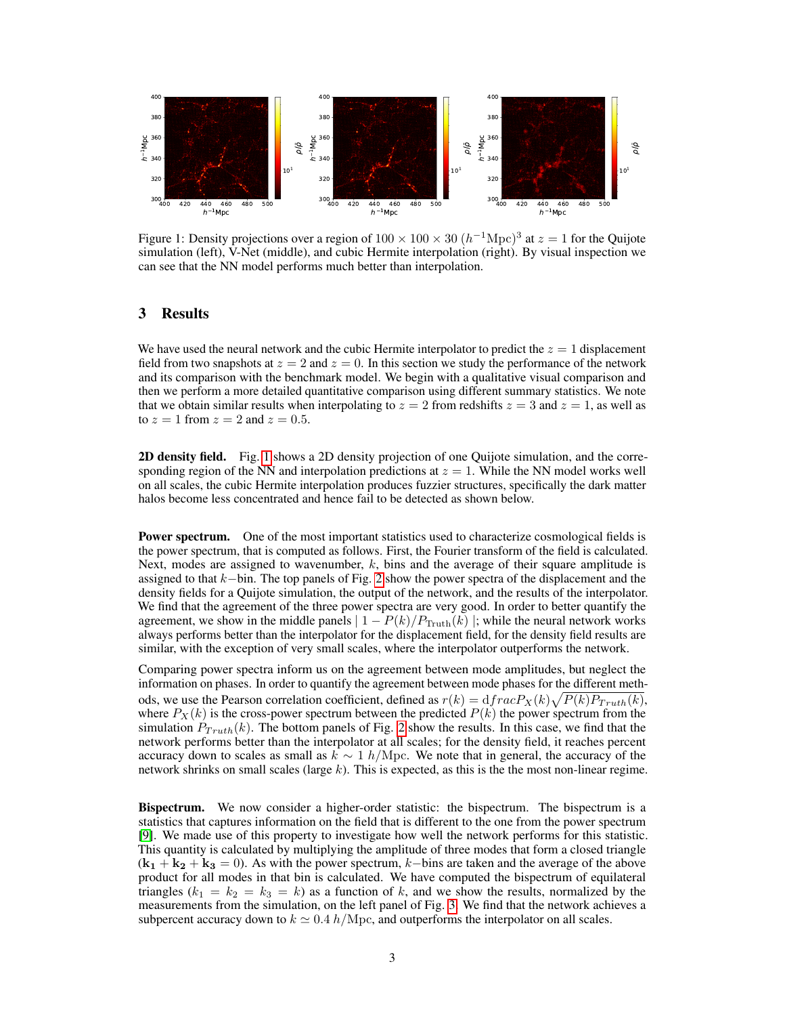

<span id="page-2-0"></span>Figure 1: Density projections over a region of  $100 \times 100 \times 30$   $(h^{-1}\text{Mpc})^3$  at  $z = 1$  for the Quijote simulation (left), V-Net (middle), and cubic Hermite interpolation (right). By visual inspection we can see that the NN model performs much better than interpolation.

### 3 Results

We have used the neural network and the cubic Hermite interpolator to predict the  $z = 1$  displacement field from two snapshots at  $z = 2$  and  $z = 0$ . In this section we study the performance of the network and its comparison with the benchmark model. We begin with a qualitative visual comparison and then we perform a more detailed quantitative comparison using different summary statistics. We note that we obtain similar results when interpolating to  $z = 2$  from redshifts  $z = 3$  and  $z = 1$ , as well as to  $z = 1$  from  $z = 2$  and  $z = 0.5$ .

2D density field. Fig. [1](#page-2-0) shows a 2D density projection of one Quijote simulation, and the corresponding region of the NN and interpolation predictions at  $z = 1$ . While the NN model works well on all scales, the cubic Hermite interpolation produces fuzzier structures, specifically the dark matter halos become less concentrated and hence fail to be detected as shown below.

Power spectrum. One of the most important statistics used to characterize cosmological fields is the power spectrum, that is computed as follows. First, the Fourier transform of the field is calculated. Next, modes are assigned to wavenumber,  $k$ , bins and the average of their square amplitude is assigned to that k−bin. The top panels of Fig. [2](#page-3-0) show the power spectra of the displacement and the density fields for a Quijote simulation, the output of the network, and the results of the interpolator. We find that the agreement of the three power spectra are very good. In order to better quantify the agreement, we show in the middle panels  $| 1 - P(k)/P_{\text{truth}}(k) |$ ; while the neural network works always performs better than the interpolator for the displacement field, for the density field results are similar, with the exception of very small scales, where the interpolator outperforms the network.

Comparing power spectra inform us on the agreement between mode amplitudes, but neglect the information on phases. In order to quantify the agreement between mode phases for the different methods, we use the Pearson correlation coefficient, defined as  $r(k) = dfracP_X(k)\sqrt{P(k)P_{Truth}(k)}$ , where  $P_X(k)$  is the cross-power spectrum between the predicted  $P(k)$  the power spectrum from the simulation  $P_{Truth}(k)$ . The bottom panels of Fig. [2](#page-3-0) show the results. In this case, we find that the network performs better than the interpolator at all scales; for the density field, it reaches percent accuracy down to scales as small as  $k \sim 1$  h/Mpc. We note that in general, the accuracy of the network shrinks on small scales (large  $k$ ). This is expected, as this is the the most non-linear regime.

**Bispectrum.** We now consider a higher-order statistic: the bispectrum. The bispectrum is a statistics that captures information on the field that is different to the one from the power spectrum [\[9\]](#page-5-0). We made use of this property to investigate how well the network performs for this statistic. This quantity is calculated by multiplying the amplitude of three modes that form a closed triangle  $(k_1 + k_2 + k_3 = 0)$ . As with the power spectrum, k–bins are taken and the average of the above product for all modes in that bin is calculated. We have computed the bispectrum of equilateral triangles  $(k_1 = k_2 = k_3 = k)$  as a function of k, and we show the results, normalized by the measurements from the simulation, on the left panel of Fig. [3.](#page-3-1) We find that the network achieves a subpercent accuracy down to  $k \approx 0.4$  h/Mpc, and outperforms the interpolator on all scales.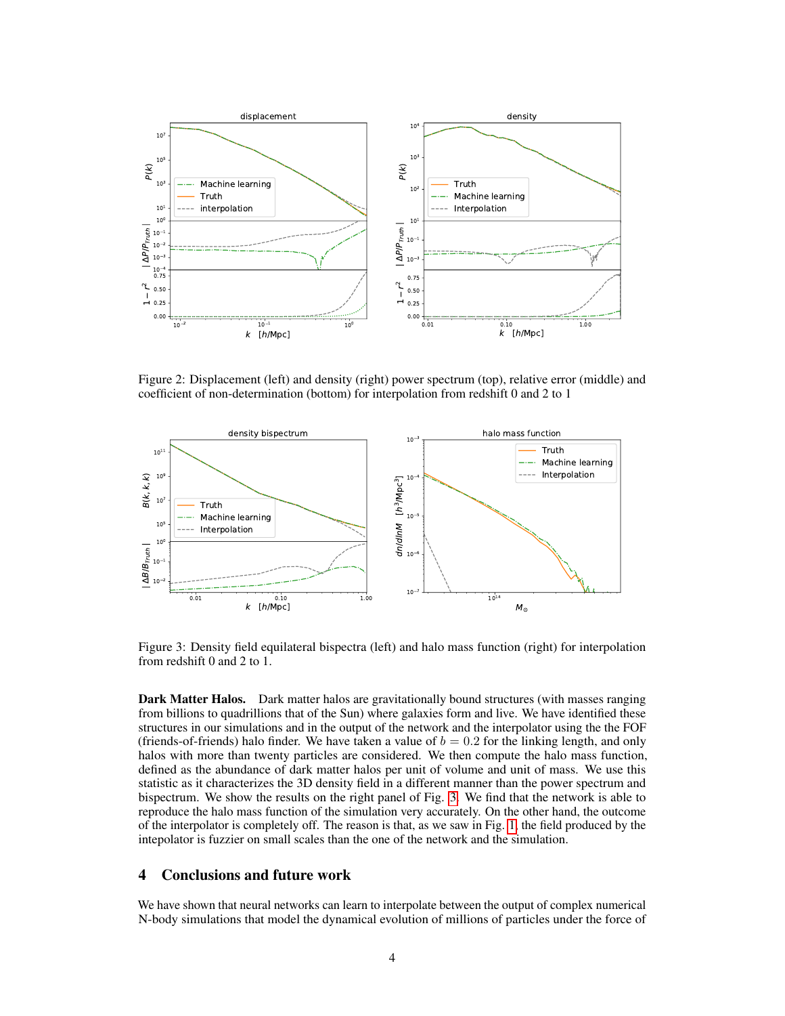

<span id="page-3-0"></span>Figure 2: Displacement (left) and density (right) power spectrum (top), relative error (middle) and coefficient of non-determination (bottom) for interpolation from redshift 0 and 2 to 1



<span id="page-3-1"></span>Figure 3: Density field equilateral bispectra (left) and halo mass function (right) for interpolation from redshift 0 and 2 to 1.

Dark Matter Halos. Dark matter halos are gravitationally bound structures (with masses ranging from billions to quadrillions that of the Sun) where galaxies form and live. We have identified these structures in our simulations and in the output of the network and the interpolator using the the FOF (friends-of-friends) halo finder. We have taken a value of  $b = 0.2$  for the linking length, and only halos with more than twenty particles are considered. We then compute the halo mass function, defined as the abundance of dark matter halos per unit of volume and unit of mass. We use this statistic as it characterizes the 3D density field in a different manner than the power spectrum and bispectrum. We show the results on the right panel of Fig. [3.](#page-3-1) We find that the network is able to reproduce the halo mass function of the simulation very accurately. On the other hand, the outcome of the interpolator is completely off. The reason is that, as we saw in Fig. [1,](#page-2-0) the field produced by the intepolator is fuzzier on small scales than the one of the network and the simulation.

## 4 Conclusions and future work

We have shown that neural networks can learn to interpolate between the output of complex numerical N-body simulations that model the dynamical evolution of millions of particles under the force of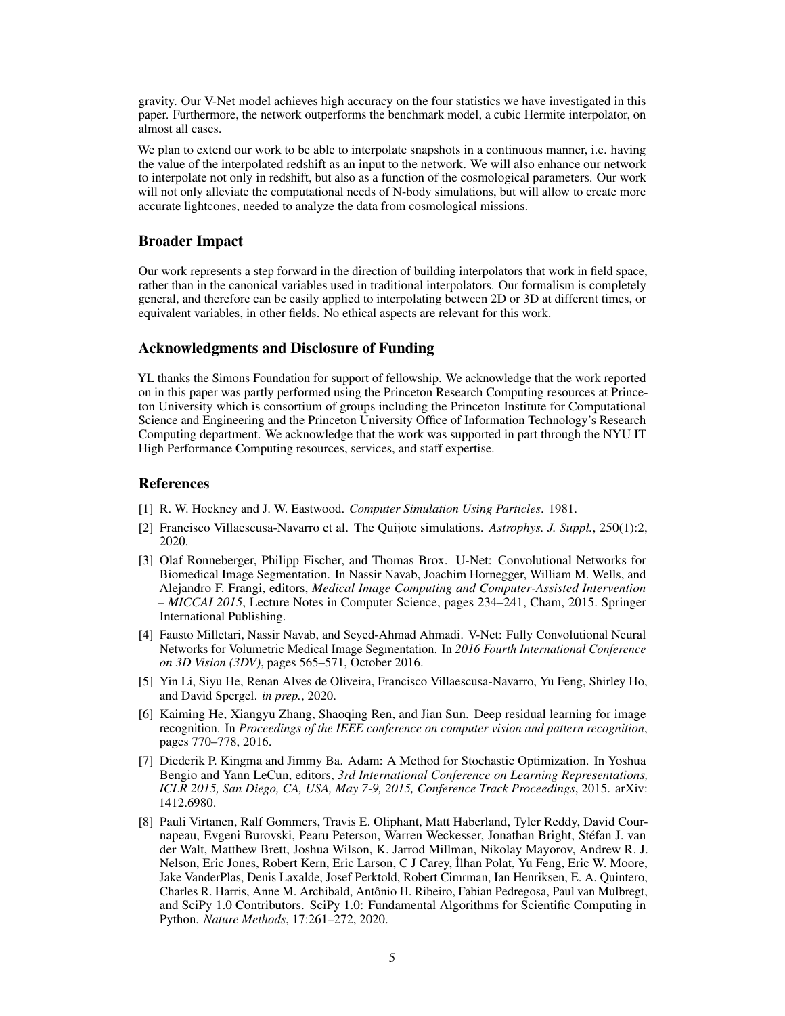gravity. Our V-Net model achieves high accuracy on the four statistics we have investigated in this paper. Furthermore, the network outperforms the benchmark model, a cubic Hermite interpolator, on almost all cases.

We plan to extend our work to be able to interpolate snapshots in a continuous manner, i.e. having the value of the interpolated redshift as an input to the network. We will also enhance our network to interpolate not only in redshift, but also as a function of the cosmological parameters. Our work will not only alleviate the computational needs of N-body simulations, but will allow to create more accurate lightcones, needed to analyze the data from cosmological missions.

#### Broader Impact

Our work represents a step forward in the direction of building interpolators that work in field space, rather than in the canonical variables used in traditional interpolators. Our formalism is completely general, and therefore can be easily applied to interpolating between 2D or 3D at different times, or equivalent variables, in other fields. No ethical aspects are relevant for this work.

#### Acknowledgments and Disclosure of Funding

YL thanks the Simons Foundation for support of fellowship. We acknowledge that the work reported on in this paper was partly performed using the Princeton Research Computing resources at Princeton University which is consortium of groups including the Princeton Institute for Computational Science and Engineering and the Princeton University Office of Information Technology's Research Computing department. We acknowledge that the work was supported in part through the NYU IT High Performance Computing resources, services, and staff expertise.

#### References

- <span id="page-4-0"></span>[1] R. W. Hockney and J. W. Eastwood. *Computer Simulation Using Particles*. 1981.
- <span id="page-4-1"></span>[2] Francisco Villaescusa-Navarro et al. The Quijote simulations. *Astrophys. J. Suppl.*, 250(1):2, 2020.
- <span id="page-4-2"></span>[3] Olaf Ronneberger, Philipp Fischer, and Thomas Brox. U-Net: Convolutional Networks for Biomedical Image Segmentation. In Nassir Navab, Joachim Hornegger, William M. Wells, and Alejandro F. Frangi, editors, *Medical Image Computing and Computer-Assisted Intervention – MICCAI 2015*, Lecture Notes in Computer Science, pages 234–241, Cham, 2015. Springer International Publishing.
- <span id="page-4-3"></span>[4] Fausto Milletari, Nassir Navab, and Seyed-Ahmad Ahmadi. V-Net: Fully Convolutional Neural Networks for Volumetric Medical Image Segmentation. In *2016 Fourth International Conference on 3D Vision (3DV)*, pages 565–571, October 2016.
- <span id="page-4-4"></span>[5] Yin Li, Siyu He, Renan Alves de Oliveira, Francisco Villaescusa-Navarro, Yu Feng, Shirley Ho, and David Spergel. *in prep.*, 2020.
- <span id="page-4-5"></span>[6] Kaiming He, Xiangyu Zhang, Shaoqing Ren, and Jian Sun. Deep residual learning for image recognition. In *Proceedings of the IEEE conference on computer vision and pattern recognition*, pages 770–778, 2016.
- <span id="page-4-6"></span>[7] Diederik P. Kingma and Jimmy Ba. Adam: A Method for Stochastic Optimization. In Yoshua Bengio and Yann LeCun, editors, *3rd International Conference on Learning Representations, ICLR 2015, San Diego, CA, USA, May 7-9, 2015, Conference Track Proceedings*, 2015. arXiv: 1412.6980.
- <span id="page-4-7"></span>[8] Pauli Virtanen, Ralf Gommers, Travis E. Oliphant, Matt Haberland, Tyler Reddy, David Cournapeau, Evgeni Burovski, Pearu Peterson, Warren Weckesser, Jonathan Bright, Stéfan J. van der Walt, Matthew Brett, Joshua Wilson, K. Jarrod Millman, Nikolay Mayorov, Andrew R. J. Nelson, Eric Jones, Robert Kern, Eric Larson, C J Carey, ˙Ilhan Polat, Yu Feng, Eric W. Moore, Jake VanderPlas, Denis Laxalde, Josef Perktold, Robert Cimrman, Ian Henriksen, E. A. Quintero, Charles R. Harris, Anne M. Archibald, Antônio H. Ribeiro, Fabian Pedregosa, Paul van Mulbregt, and SciPy 1.0 Contributors. SciPy 1.0: Fundamental Algorithms for Scientific Computing in Python. *Nature Methods*, 17:261–272, 2020.